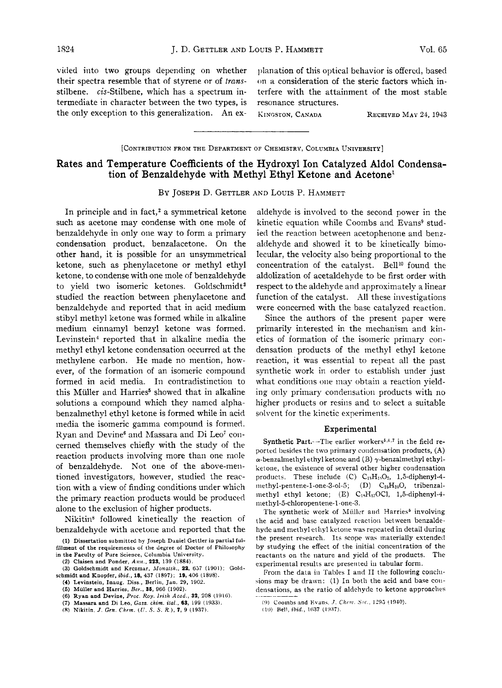vided into two groups depending on whether planation of this optical behavior is offered, based their spectra resemble that of styrene or of *trans-* on a consideration of the steric factors which instilbene.  $cis$ -Stilbene, which has a spectrum in- terfere with the attainment of the most stable termediate in character between the two types, is resonance structures. the only exception to this generalization. An ex- KINGSTON, CANADA RECEIVED MAY 24, 1943

## [CONTRIBUTION FROM **THE** DEPARTMENT OF CHEMISTRY, COLUMBIA UNIVERSITY]

# Rates and Temperature Coefficients of the Hydroxyl Ion Catalyzed Aldol Condensation of Benzaldehyde with Methyl Ethyl Ketone and Acetonel

**BY** JOSEPH D. GETTLER AND LOUIS P. HAMMETT

In principle and in fact,<sup>2</sup> a symmetrical ketone such as acetone may condense with one mole of benzaldehyde in only one way to form a primary condensation product, benzalacetone. On the other hand, it is possible for an unsymmetrical ketone, such as phenylacetone or methyl ethyl ketone, to condense with one mole of benzaldehyde to yield two isomeric ketones. Goldschmidt<sup>3</sup> studied the reaction between phenylacetone and benzaldehyde and reported that in acid medium stibyl methyl ketone was formed while in alkaline medium cinnamyl benzyl ketone was formed. Levinstein<sup>4</sup> reported that in alkaline media the methyl ethyl ketone condensation occurred at the methylene carbon. He made no mention, however, of the formation of an isomeric compound formed in acid media. In contradistinction to this Müller and Harries<sup>5</sup> showed that in alkaline solutions a compound which they named alphabenzalmethyl ethyl ketone is formed while in acid media the isomeric gamma compound is formed. Ryan and Devine<sup>6</sup> and Massara and Di Leo<sup>7</sup> concerned themselves chiefly with the study of the reaction products involving more than one niole of benzaldehyde. Not one of the above-mentioned investigators, however, studied the reaction with a view of finding conditions under which the primary reaction products would be produced alone to the exclusion of higher products.

Nikitin<sup>8</sup> followed kinetically the reaction of benzaldehyde with acetone and reported that the

(1) Dissertation submitted by Joseph Douiel Gettler in partial fulfillment of the requirements of the degree of Doctor of Philosophy

(3) Goldschmidt and Krczmar, *.Vonafsh.,* **22, 657** (1901); Gold schmidt and Knopfer,  $ibid.$ , 18, 437 (1897); 19, 406 (1898).

aldehyde is involved to the second power in the kinetic equation while Coombs and Evans<sup>9</sup> studied the reaction between acetophenone and benzaldehyde and showed it to be kinetically bimolecular, the velocity also being proportional to the concentration of the catalyst. Bell<sup>10</sup> found the aldolization of acetaldehyde to be first order with respect to the aldehyde and approximately a linear function of the catalyst. All these investigations were concerned with the base catalyzed reaction.

Since the authors of the present paper were primarily interested in the mechanism and kinetics of formation of the isomeric primary condensation products of the methyl ethyl ketone reaction, it was essential to repeat all the past synthetic work in order to establish under just what conditions one may obtain a reaction yielding only primary condensation products with no higher products or resins and to select a suitable solvent for the kinetic experiments.

### Experimental

Synthetic Part.--The earlier workers $5,6,7$  in the field reported besides the two primary condensation products,  $(A)$  $\alpha$ -benzalmethyl ethyl ketone and (B)  $\gamma$ -benzalmethyl ethylketone, the existence of several other higher condensation products. These include  $(C)$   $C_{15}H_{15}O_2$ , 1,5-diphenyl-4methyl-pentene-1-one-3-ol-5; (D)  $C_{25}H_{20}O$ , tribenzalmethyl ethyl ketone;  $(E)$  C<sub>13</sub>H<sub>17</sub>OCl, 1,5-diphenyl-4**niethyl-5-chloropentene-1-one-3.** 

The synthetic work of Müller and Harries<sup>5</sup> involving the acid and base catalyzed reaction between benzaldehyde and methyl ethyl ketone was repeated in detail during the present research. Its scope was materially extended by studying the effect of the initial concentration of the reactants on the nature and yield of the products. The experimental results are presented **iii** tabular form.

From the data in Tables I and II the following conclusions may be drawn:  $(1)$  In both the acid and base condensations, as the ratio of aldehyde to ketone approaches

in the Faculty of Pure Science, Columbia University. **(2)** Claiseu and Ponder, Ami., **223,** 139 (1881).

**<sup>(4)</sup>** Levinstein, Inaug. Diss., Berlin, Jan. 29, 1902.

*<sup>(5)</sup>* Muller and Harries, **Ber., 36,** 9BG (1902).

<sup>(6)</sup> Ryan and Deviue, *Proc.* Roy. *Irish* **Acad., 32,** 208 **(I9lCi).** 

**<sup>(7)</sup>** Massara and Di Leo, Gazz. **chim.** *ifd,* **63,** 199 (1933).

**<sup>(</sup>R)** Nikitin, *J. Gm. Chrm. (IJ. .S.* S. *R.),* **7,** 9 (1937).

<sup>(9)</sup> Coombs and Evans, J. Chem. Soc., 1295 (1940).

<sup>(10)</sup> Bell, ibid., 1637 (1937).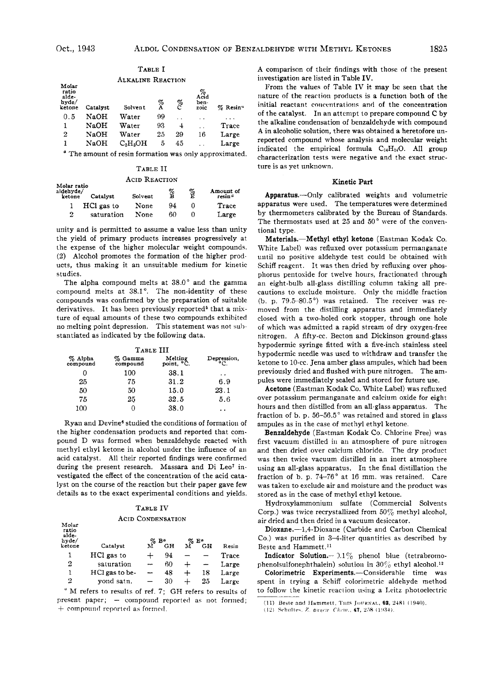|                                            |             | ALKALINE REACTION                                                                                               |        |        |                                       |                      |
|--------------------------------------------|-------------|-----------------------------------------------------------------------------------------------------------------|--------|--------|---------------------------------------|----------------------|
| Molar<br>ratio<br>alde-<br>hyde/<br>ketone | Catalyst    | Solvent                                                                                                         | %<br>A | %<br>C | $\chi^{\%}_{\rm cid}$<br>ben-<br>zoic | % Resin <sup>"</sup> |
| 0.5                                        | NaOH        | Water                                                                                                           | 99     |        |                                       |                      |
| 1                                          | NaOH        | Water                                                                                                           | 93     | 4      | . .                                   | Trace                |
| 2                                          | <b>NaOH</b> | Water                                                                                                           | 25     | 29     | 16                                    | Large                |
| 1                                          | NaOH        | $C_3H_5OH$                                                                                                      | 5      | 45     |                                       | Large                |
| $\alpha$ and                               |             | the contract of the contract of the contract of the contract of the contract of the contract of the contract of |        |        |                                       | .                    |

TABLE I

The amount of resin formation was only approximated.

#### TABLE I1

#### ACID REACTION

| Molar ratio<br>al <b>dehvde/</b><br>ketone | Catalyst   | Solvent | $_{\rm B}^{\%}$ | é | Amount of<br>resin" |
|--------------------------------------------|------------|---------|-----------------|---|---------------------|
|                                            | HCl gas to | None    | 94              |   | Trace               |
| $\mathbf{2}$                               | saturation | None    | 60              |   | Large               |

unity and is permitted to assume a value less than unity the yield of primary products increases progressively at the expense of the higher molecular weight compounds. **(2)** Alcohol promotes the formation *of* the higher products, thus making it an unsuitable medium for kinetic studies.

The alpha compound melts at  $38.0^{\circ}$  and the gamma compound melts at 38.1". The non-identity of these compounds was confirmed by the preparation of suitable derivatives. It has been previously reported<sup>5</sup> that a mixture *of* equal amounts of these two compounds exhibited no melting point depression. This statement was not sub stantiated as indicated by the following data.

### TABLE III<br>1ma Melting<br>und point, °C % **Alpha** % **Gamma Melting Depression,**   $%$  Gamma<br>compound *0* 100 38.1 .. 25 **75** 31.2 **6.9**  50 50 15.0 23.1 **75 26** 32.5 **5.6**  100 0 **38.0** ..

Ryan and Devine6 studied the conditions of formation of the higher condensation products and reported that conipound D was formed when benzaldehyde reacted with methyl ethyl ketone in alcohol under the influence of an acid catalyst. All their reported findings were confirmed during the present research. Massara and Di Leo<sup>7</sup> investigated the effect of the concentration of the acid catalyst on the course *of* the reaction but their paper gave few details as to the exact experimental conditions and yields.

#### TABLE IV

#### ACID CONDENSATION

**Molar** 

| ratio<br>alde-<br>hyde/<br>ketone | Catalyst       | $%$ B <sup>a</sup><br>M | GН | % Е*<br>M | GН | Resin |
|-----------------------------------|----------------|-------------------------|----|-----------|----|-------|
| 1                                 | HCl gas to     |                         | 94 |           |    | Trace |
| 2                                 | saturation     |                         | 60 |           |    | Large |
| ı                                 | HCl gas to be- |                         | 48 |           | 18 | Large |
| 2                                 | vond satn.     |                         | 30 |           | 25 | Large |

" M refers to results of ref. **7;** GH refers to results of present paper; - compound reported as not formed; + compound reported as formed.

A comparison of thcir findings with those of the present investigation are listed in Table **IV.** 

ITrom the values of Table IV it may **bc** seen that the nature of the reaction products is a function both **of** the initial reactant concentrations and of the concentration of the catalyst. In an attempt to prepare compound C by the alkaline condensation of benzaldehyde with compound A in alcoholic solution, there was obtained a heretofore unreported compound whose analysis and molecular weight indicated the empirical formula  $C_{14}H_{14}O$ . All group characterization tests were negative and the exact structure is as yet unknown.

#### Kinetic Part

Apparatus.-Only calibrated weights and volumetric apparatus were used. The temperatures were determined by thermometers calibrated by the Bureau of Standards. The thermostats used at **25** and **50"** were of the conventional type.

Materials.-Methyl ethyl ketone (Eastman Kodak Co. White Label) was refluxed over potassium permanganate until no positive aldehyde test could be obtained with Schiff reagent. It was then dried by refluxing over phosphorus pentoside for twelve hours, fractionated through an eight-bulb all-glass distilling column taking all precautions to exclude moisture. Only the middle fraction (b. p. 79.5-80.5 $^{\circ}$ ) was retained. The receiver was removed from the distilling apparatus and immediately closed with a two-holed cork stopper, through one hole of which was admitted a rapid stream of dry oxygen-free nitrogen. **A** fifty-cc. Becton and Dickinson ground-glass hypodermic syringe fitted with a five-inch stainless steel hypodermic needle was used to withdraw and transfer the ketone to 10-cc. Jena amber glass ampules, which had been previously dried and flushed with pure nitrogen. The ampules were immediately sealed and stored for future use.

Acetone (Eastman Kodak Co. White Label) was refluxed over potassium permanganate and calcium oxide for eight hours and then distilled from an all-glass apparatus. The fraction of b. p. **56-56.5"** was retained and stored in glass ampules as in the case of methyl ethyl ketone.

Benzaldehyde (Eastman Kodak Co. Chlorine Free) was first vacuum distilled in an atmosphere of pure nitrogen and then dried over calcium chloride. The dry product was then twice vacuum distilled in an inert atmosphere using an all-glass apparatus. In the final distillation the fraction **of** b. p. **74-76"** at **16** mm. was retained. Care was taken to exclude air and moisture and the product was stored as in the case of methyl ethyl ketone.

Hydroxylammonium sulfate (Commercial Solvents Corp.) was twice recrystallized from 50% methyl alcohol, air dried and then dried in a vacuum desiccator.

Dioxane.--1,4-Dioxane (Carbide and Carbon Chemical Co.) was purified in 3-4-liter quantities as described by Beste and Hammett.<sup>11</sup>

Indicator Solution.-  $0.1\%$  phenol blue (tetrabromophenolsulfonephthalein) solution in  $30\%$  ethyl alcohol.<sup>12</sup>

Colorimetric Experiments.--Considerable time was spent in trying a Schiff colorimetric aldehyde method to follow the kinetic reaction using a Leitz photoelectric

**<sup>(11)</sup> Beste nntl IIammrll, l'iiis JC>I!KXAI., 63, 2.181** 11940).

<sup>(12)</sup> Schultes, Z. angew: Chem., 47, 258 (1934).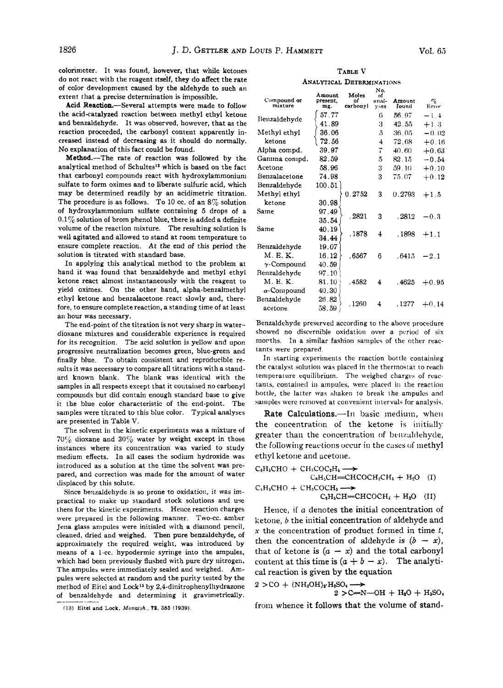colorimeter. It was found, however, that while ketones do not react with the reagent itself, they do affect the rate of color development caused by the aldehyde to such an extent that a precise determination is impossible.

**Acid** Reaction.-Several attempts were made to follow the acid-catalyzed reaction between methyl ethyl ketone and benzaldehyde. It was observed, however, that as the reaction proceeded, the carbonyl content apparently increased instead of decreasing as it should do normally. No explanation of this fact could be found.

Method.-The rate of reaction was followed by the analytical method of Schultes<sup>12</sup> which is based on the fact that carbonyl compounds react with hydroxylammoniuni sulfate to form oximes and to liberate sulfuric acid, which may be determined readily by an acidimetric titration. The procedure is as follows. To 10 cc. of an **8%** solution of hydroxylammonium sulfate containing **5** drops of a **0.1%** solution of brom phenol blue, there is added a definite volume of the reaction mixture. The resulting solution is well agitated and allowed to stand at room temperature to ensure complete reaction. **At** the end *of* this period the solution **is** titrated with standard base.

In applying this analytical method to the problem at hand it was found that benzaldehyde and methyl ethyl ketone react almost instantaneously with the reagent to yield oximes. On the other hand, alpha-benzalmethyl ethyl ketone and benzalacetone react slowly and, therefore, to ensure complete reaction, a standing time of at least an hour was necessary.

The end-point of the titration is not very sharp in waterdioxane mixtures and considerable experience is required for its recognition. The acid solution is yellow and upon progressive neutralization becomes green, blue-green and finally blue. To obtain consistent and reproducible results it was necessary to compare all titrations with a standard known blank. The blank was identical with the samples in all respects except that it coutained no carbonyl compounds but did contain enough standard base to give it the blue color characteristic of the end-point. The samples were titrated to this blue color. Typical analyses are presented in Table V.

The solvent in the kinetic experiments was a mixture **of 7056** dioxane and **30%** water by weight except in those instances where its concentration was varied to study medium effects. In all cases the sodium hydroxide was introduced as a solution at the time the solvent was prepared, and correction was made for the amount **of** water displaced by this solute.

Since benzaldehyde is so prone to oxidation, it was impractical to make up standard stock solutions and use them for the kinetic experiments. Hence reaction charges were prepared in the following manner. Two-cc. amber Jena glass ampules were initialed with a diamond pencil, cleaned, dried and weighed. Then pure benzaldehyde, of approximately the required weight, was introduced by means of a 1-cc. hypodermic syringe into the ampules, which had been previously flushed with pure dry nitrogen. The ampules were immediately sealed and weighed. Ampules were selected at random and the purity tested by the method of Eitel and **Lock13** by **2,4-dinitrophenylhydrazone**  of benzaldehyde and determining it gravimetrically.

TABLE V ANALYTICAL DETERMINATIONS

| Compound or<br>mixture | Amount<br>present.<br>mg. | Moles<br>of<br>carbonyl | No.<br>of<br>anal-<br><b>vses</b> | Amount<br>found | $c_{\ell_0}$<br>Error |
|------------------------|---------------------------|-------------------------|-----------------------------------|-----------------|-----------------------|
| Benzaldehyde           | 57.77<br>41.89            |                         | 6<br>3                            | 56.97<br>42.55  | $-1.4$<br>$+1.3$      |
| Methyl ethyl           | 36.06                     |                         | 5                                 | 36.05           | $-0.02$               |
| ketone                 | 72.56                     |                         | $\overline{4}$                    | 72.68           | $+0.16$               |
| Alpha compd.           | 39.97                     |                         | 7                                 | 40.60           | $+0.63$               |
| Gamma compd.           | 82.59                     |                         | 5                                 | 82.15           | $-0.54$               |
| Acetone                | 58.96                     |                         | 3                                 | 59.10           | $+0.10$               |
| Benzalacetone          | 74.98                     |                         | 3                                 | 75.07           | $+0.12$               |
| Benzaldehyde           | 100.51                    |                         |                                   |                 |                       |
| Methyl ethyl           |                           | 0.2752                  | 3                                 | 0.2793          | $+1.5$                |
| ketone                 | 30.98                     |                         |                                   |                 |                       |
| Same                   | 97.49                     | .2821                   | 3                                 |                 |                       |
|                        | 35.54                     |                         |                                   | .2812           | $-0.3$                |
| Same                   | 40.19                     | .1878                   | 4                                 | . 1898          |                       |
|                        | 34.44                     |                         |                                   |                 | $+1.1$                |
| Benzaldehyde           | 19.07                     |                         |                                   |                 |                       |
| M. E. K.               | 16.12                     | .6567                   | 6                                 | $-641.5$        | $-2.1$                |
| $\gamma$ -Compound     | 40.59                     |                         |                                   |                 |                       |
| Benzaldehyde           | 97.10                     |                         |                                   |                 |                       |
| M. E. K.               | 81.10                     | .4582                   | 4                                 | .4625           | $+0.95$               |
| $\alpha$ -Compound     | 40.30                     |                         |                                   |                 |                       |
| Benzaldehyde           | 26.82                     | .1260                   | 4                                 |                 |                       |
| acetone                | 58.59                     |                         |                                   | . 1277          | $+0.14$               |

Benzaldehyde preserved according to the above procedure showed no discernible oxidation over a period of six morths. In a similar fashion samples of the other reactants were prepared

In starting experiments the reaction bottle containing the catalyst solution was placed in the thermostat to reach temperature equilibrium. The weighed charges of reactants, contained in ampules, **were** placed iii the reactioii bottle, the latter *was* sliakeii *to* **break** the ampules **and**  samples were removed at convenient intervals for analysis.

Rate Calculations.-In basic medium, when the concentration of the ketone is initially greater than the concentration of benzaldehyde, the following reactions occur in the cases of methyl ethyl ketone and acetone.<br>  $C_6H_6CHO + CH_3COC_2H_6 \longrightarrow$ 

$$
C_6H_6CHO + CH_3COC_2H_6 \longrightarrow
$$
  
\n
$$
C_6H_5CHO + CH_3COCH_3 \longrightarrow
$$
  
\n
$$
C_6H_5CHO + CH_3COCH_3 \longrightarrow
$$
  
\n
$$
C_6H_5CH = CHCOCH_3 + H_2O
$$
 (II)

Hence, if *a* denotes the initial concentration of ketone, *b* the initial concentration of aldehyde and x the concentration of product formed in time *t*, then the concentration of aldehyde is  $(b - x)$ , then the concentration of aldehyde is  $(b - x)$ ,<br>that of ketone is  $(a - x)$  and the total carbonyl that of ketone is  $(a - x)$  and the total carbonyl<br>content at this time is  $(a + b - x)$ . The analytical reaction is given by the equation<br>  $2 > \text{CO} + (\text{NH}_2\text{OH})_2 \cdot \text{H}_2\text{SO}_4 \longrightarrow 2 \cdot \text{CO} + (\text{NH}_2\text{OH})_2 \cdot \text{H}_2\text{SO}_4 \longrightarrow 2 \cdot \text{CO} + \text{H}_2\text{OH} + \text{H}_2\text{O} + \text{H}_2\text{OH} + \text{H}_2\text{O} + \text{H}_2\text{OH} + \text{H}_2\text{O} + \text{H}_2\text{OH} + \text{H}_2\text{O}$ 

$$
2 > CO + (NH2OH)2·H2SO4 \longrightarrow
$$

 $2 > C = N - OH + H<sub>2</sub>O + H<sub>2</sub>SO<sub>4</sub>$ from whence it follows that the volume of **stand-** 

**<sup>(13)</sup> Eitel and Lock, Morzafuh.,** *71.* **385 (1939)**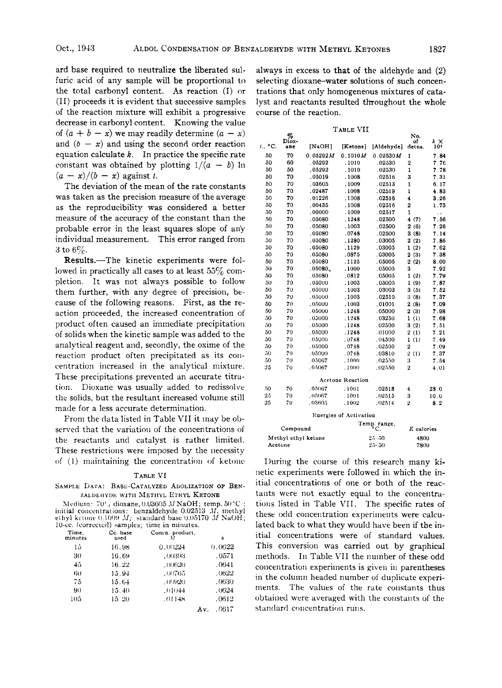ard base required to neutralize the liberated sulfuric acid of any sample will be proportional **to**  the total carbonyl content. **As** reaction (I) or (11) proceeds it is evident that successive samples of the reaction mixture will exhibit a progressive decrease in carbonyl content. Knowing the value of  $(a + b - x)$  we may readily determine  $(a - x)$ and  $(b - x)$  and using the second order reaction equation calculate *k.* In practice the specific rate constant was obtained by plotting  $1/(a - b)$  ln  $(a - x)/(b - x)$  against *t*.

The deviation of the mean of the rate constants was taken as the precision measure of the average as the reproducibility was considered a better measure of the accuracy of the constant than the probable error in the least squares slope of any individual measurement. This error ranged from **3** to 6%.

Results.-The kinetic experiments were followed in practically all cases to at least *55%* completion. It was not always possible to follow them further, with any degree of precision, because of the following reasons. First, as the reaction proceeded, the increased concentration of product often caused an immediate precipitation of solids when the kinetic sample was added to the analytical reagent and, secondly, the oxime of the reaction product often precipitated as its concentration increased in the analytical mixture. These precipitations prevented an accurate titration. Dioxane was usually added to redissolve the solids, but the resultant increased volume still made for a less accurate determination.

From the data listed in Table VI1 it may be observed that the variation of the concentrations of the reactants and catalyst is rather limited. These restrictions were imposed by the necessity of (1) maintaining the concentration of ketone

## TABLE VI

## SAMPLE DATA: **BASE-CATALYZED** ADOLIZATION OF **BEN-ZALDEHYDE WITH METHYL ETHYL KETONE**

| Medium: $70\%$ , dioxane, 0.03605 M NaOH; temp. $50\degree$ C.;  |
|------------------------------------------------------------------|
| initial concentrations: benzaldehyde $0.02513$ <i>M</i> , methyl |
| ethyl ketone $0.1009$ M: standard base $0.05170$ M NaOH:         |
| 10-ce. (corrected) samples; time in minutes.                     |

| Time.<br>minutes | Cc. base<br>used | Conen. product.<br>М | k            |
|------------------|------------------|----------------------|--------------|
| 15               | 16.98            | 0.00224              | 0.0622       |
| 30               | 16.69            | . 00393              | .0571        |
| 45               | 16.22            | .00620               | .0641        |
| 60               | 15.94            | .00765               | .0622        |
| 75               | 15.64            | .00920               | .0630        |
| 90               | 15.40            | .01044               | .0624        |
| 105              | 15.20            | .01148               | .0612        |
|                  |                  |                      | .0617<br>Av. |

always in excess to that of the aldehyde and **(2)**  selecting dioxane-water solutions of such concentrations that only homogeneous mixtures of catalyst arid reactants resulted throughout the whole course of the reaction.

**TABLE** VI1

|                     | $\frac{\%}{\text{Dios}}$ |          |                  |                   | No.                   |                       |  |  |  |
|---------------------|--------------------------|----------|------------------|-------------------|-----------------------|-----------------------|--|--|--|
| °C.<br>t.,          | ane                      | [NaOH]   | [Ketone]         | [Aldehyde]        | of<br>detas.          | kΧ<br>10 <sup>2</sup> |  |  |  |
| 50                  | 70                       | 0.05292M | 0.1010M          | 0.02530M          | 1                     | 7.84                  |  |  |  |
| 50                  | 60                       | .05292   | .1010            | .02530            | $\overline{2}$        | 7.76                  |  |  |  |
| 50                  | 50                       | .05292   | .1010            | .02530            | 1                     | 7.78                  |  |  |  |
| 50                  | 70                       | .05019   | .1008            | .02516            | 3                     | 7.31                  |  |  |  |
| 50                  | 70                       | .03605   | . 1009           | .02513            | ı                     | 6.17                  |  |  |  |
| 50                  | 70                       | .02487   | . 1008           | .02519            | 1                     | 4.83                  |  |  |  |
| 50                  | 70                       | .01226   | .1008            | .02516            | 4                     | 3.26                  |  |  |  |
| 50                  | 70                       | .00435   | .1008            | .02516            | $\overline{2}$        | 1.73                  |  |  |  |
| 50                  | 70                       | .00000   | .1009            | .02517            | 1                     | Ϋ.                    |  |  |  |
| 50                  | 70                       | .05080   | . 1248           | .02500            | 4(7)                  | 7.56                  |  |  |  |
| 50                  | 70                       | .05080   | . 1003           | .02500            | 2(6)                  | 7.26                  |  |  |  |
| 50                  | 70                       | .05080   | .0748            | .02500            | 3(8)                  | 7.14                  |  |  |  |
| 50                  | 70                       | .05080   | .1280            | .03005            | 2(2)                  | 7.86                  |  |  |  |
| 50                  | 70                       | .05080   | .1129            | .03005            | 1(2)                  | 7.62                  |  |  |  |
| 50                  | 70                       | .05080   | .0875            | .03005            | 2(3)                  | 7.38                  |  |  |  |
| 50                  | 70                       | .05080   | .1125            | .05005            | 2(2)                  | 8.00                  |  |  |  |
| 50                  | 70                       | .05080.  | .1000            | .05005            | 3                     | 7.92                  |  |  |  |
| 50                  | 70                       | .05080   | .0812            | .05005            | 1(2)                  | 7.79                  |  |  |  |
| 50                  | 70                       | .05000   | .1003            | .05005            | 1(9)                  | 7.87                  |  |  |  |
| 50                  | 70                       | .05000   | .1003            | .03003            | 3 (5)                 | 7.52                  |  |  |  |
| 50                  | 70                       | .05000   | .1003            | .02510            | 3(8)                  | 7.37                  |  |  |  |
| 50                  | 70                       | .05000   | .1003            | .01001            | 2(8)                  | 7.09                  |  |  |  |
| 50                  | 70                       | .05000   | . 1248           | .05000            | 2(3)                  | 7.98                  |  |  |  |
| 50                  | 70                       | .05000   | .1248            | .03250            | 1(1)                  | 7.68                  |  |  |  |
| 50                  | 70                       | .05000   | . 1248           | .02500            | 3(2)                  | 7.51                  |  |  |  |
| 50                  | 70                       | .05000   | .1248            | .01000            | 2(1)                  | 7.21                  |  |  |  |
| 50                  | 70                       | .05000   | .0748            | .04500            | 1(1)                  | 7.49                  |  |  |  |
| 50                  | 70                       | .05000   | .0748            | .02500            | $\overline{2}$        | 7.09                  |  |  |  |
| 50                  | 70                       | .05000   | .0748            | .03810            | $\overline{2}$<br>(1) | 7.37                  |  |  |  |
| 50                  | 70                       | .05067   | .1000            | .02550            | 3                     | 7.54                  |  |  |  |
| 25                  | 70                       | .05067   | .1000            | .02550            | $\overline{2}$        | 4.01                  |  |  |  |
|                     |                          |          | Acetone Reaction |                   |                       |                       |  |  |  |
| 50                  | 70                       | .05067   | .1001            | .02518            | 4                     | 23.0                  |  |  |  |
| 25                  | 70                       | ,05067   | .1001            | .02515            | 3                     | 10.0                  |  |  |  |
| 25                  | 70                       | .03605   | .1002            | .02514            | $\overline{2}$        | 8.2                   |  |  |  |
|                     | Energies of Activation   |          |                  |                   |                       |                       |  |  |  |
|                     |                          |          |                  | Temp. range,      |                       |                       |  |  |  |
| Compound            |                          |          |                  | °C.<br>E calories |                       |                       |  |  |  |
| Methyl ethyl ketone |                          |          |                  | $25 - 50$<br>4800 |                       |                       |  |  |  |
| Acetone             |                          |          |                  | $25 - 50$<br>7800 |                       |                       |  |  |  |

During the course of this research many kinetic experiments were followed in which the initial concentrations of one or both of the reactants were not exactly equal to the concentrations listed in Table VII. The specific rates of these odd concentration experiinents were calculated back to what they would have been if the initial concentrations were of standard values. This conversion was carried out by graphical methods. In Table VI1 the number of these odd concentration experiments is given in parentheses in the column headed number of duplicate experiments. The values of the rate constants thus obtained were averaged with the constants of the standard concentration runs.

NO.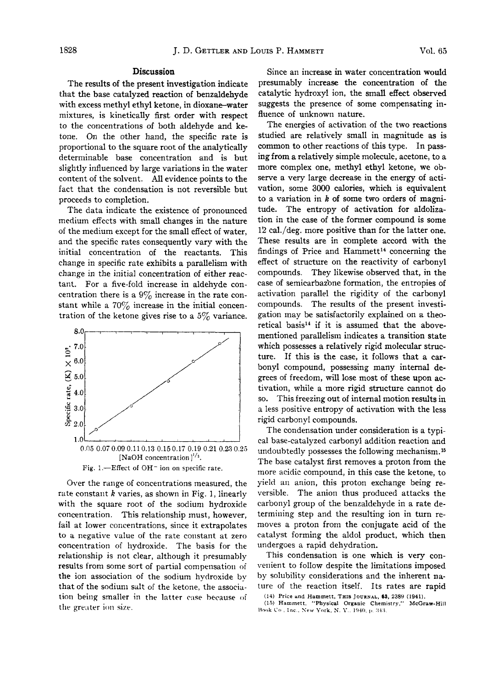## Discussion

The results of the present investigation indicate that the base catalyzed reaction of benzaldehyde with excess methyl ethyl ketone, in dioxane-water mixtures, is kinetically first order with respect to the concentrations of both aldehyde and ketone. On the other hand, the specific rate is proportional to the square root of the analytically determinable base concentration and is but slightly influenced by large variations in the water content of the solvent. All evidence points to the fact that the condensation is not reversible but proceeds to completion.

The data indicate the existence of pronounced medium effects with small changes in the nature of the medium except for the small effect of water. and the specific rates consequently vary with the initial concentration of the reactants. This change in specific rate exhibits a parallelism with change in the initial concentration of either reactant. For a five-fold increase in aldehyde concentration there is a  $9\%$  increase in the rate constant while a  $70\%$  increase in the initial concentration of the ketone gives rise to a  $5\%$  variance.



Over the range of concentrations measured, the rate constant  $k$  varies, as shown in Fig. 1, linearly with the square root of the sodium hydroxide concentration. This relationship must, however, fail at lower concentrations, since it extrapolates to a negative value of the rate constant at zero concentration of hydroxide. The basis for the relationship is not clear, although it presumably results from some sort of partial compensation of the ion association of the sodium hydroxide by that of the sodium salt of the ketone, the association being smaller in the latter case because of the greater ion size.

Since an increase in water concentration would presumably increase the concentration of the catalytic hydroxyl ion, the small effect observed suggests the presence of some compensating influence of unknown nature.

The energies of activation of the two reactions studied are relatively small in magnitude as is common to other reactions of this type. In passing from a relatively simple molecule, acetone, to a more complex one, methyl ethyl ketone, we observe a very large decrease in the energy of activation, some 3000 calories, which is equivalent to a variation in  $k$  of some two orders of magnitude. The entropy of activation for aldolization in the case of the former compound is some 12 cal./deg. more positive than for the latter one. These results are in complete accord with the findings of Price and Hammett<sup>14</sup> concerning the effect of structure on the reactivity of carbonyl compounds. They likewise observed that, in the case of semicarbazone formation, the entropies of activation parallel the rigidity of the carbonyl compounds. The results of the present investigation may be satisfactorily explained on a theoretical basis<sup>14</sup> if it is assumed that the abovementioned parallelism indicates a transition state which possesses a relatively rigid molecular structure. If this is the case, it follows that a carbonyl compound, possessing many internal degrees of freedom, will lose most of these upon activation, while a more rigid structure cannot do so. This freezing out of internal motion results in a less positive entropy of activation with the less rigid carbonyl compounds.

The condensation under consideration is a typical base-catalyzed carbonyl addition reaction and undoubtedly possesses the following mechanism.<sup>15</sup> The base catalyst first removes a proton from the more acidic compound, in this case the ketone, to yield an anion, this proton exchange being reversible. The anion thus produced attacks the carbonyl group of the benzaldehyde in a rate determining step and the resulting ion in turn removes a proton from the conjugate acid of the catalyst forming the aldol product, which then undergoes a rapid dehydration.

This condensation is one which is very convenient to follow despite the limitations imposed by solubility considerations and the inherent nature of the reaction itself. Its rates are rapid

(14) Price and Hammett, THIS JOURNAL, 63, 2389 (1941).

(15) Hammett, "Physical Organic Chemistry," McGraw-Hill Book Co., Inc., New York, N. Y., 1940, p. 343.